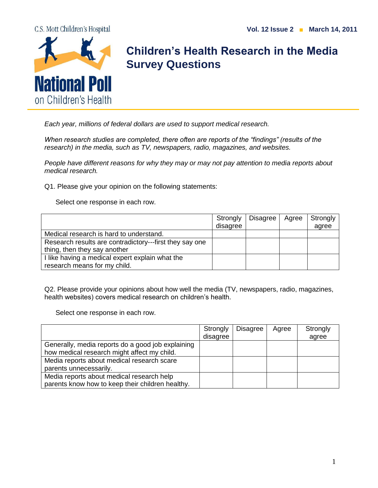



## **Children's Health Research in the Media Survey Questions**

*Each year, millions of federal dollars are used to support medical research.* 

*When research studies are completed, there often are reports of the "findings" (results of the research) in the media, such as TV, newspapers, radio, magazines, and websites.* 

*People have different reasons for why they may or may not pay attention to media reports about medical research.* 

Q1. Please give your opinion on the following statements:

Select one response in each row.

|                                                         | Strongly | Disagree | Agree | Strongly |
|---------------------------------------------------------|----------|----------|-------|----------|
|                                                         | disagree |          |       | agree    |
| Medical research is hard to understand.                 |          |          |       |          |
| Research results are contradictory---first they say one |          |          |       |          |
| thing, then they say another                            |          |          |       |          |
| I like having a medical expert explain what the         |          |          |       |          |
| research means for my child.                            |          |          |       |          |

Q2. Please provide your opinions about how well the media (TV, newspapers, radio, magazines, health websites) covers medical research on children's health.

Select one response in each row.

|                                                   | Strongly | Disagree | Agree | Strongly |
|---------------------------------------------------|----------|----------|-------|----------|
|                                                   | disagree |          |       | agree    |
| Generally, media reports do a good job explaining |          |          |       |          |
| how medical research might affect my child.       |          |          |       |          |
| Media reports about medical research scare        |          |          |       |          |
| parents unnecessarily.                            |          |          |       |          |
| Media reports about medical research help         |          |          |       |          |
| parents know how to keep their children healthy.  |          |          |       |          |